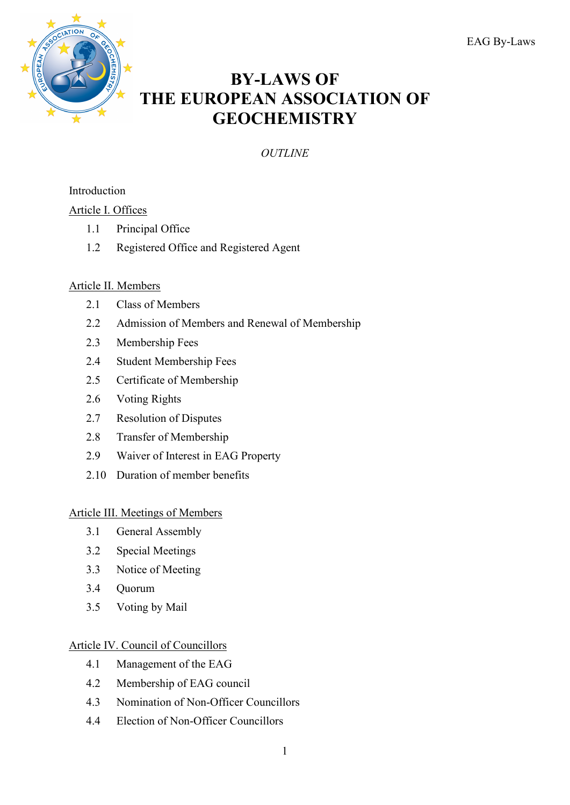

# **BY-LAWS OF THE EUROPEAN ASSOCIATION OF GEOCHEMISTRY**

*OUTLINE*

## Introduction

## Article I. Offices

- 1.1 Principal Office
- 1.2 Registered Office and Registered Agent

## Article II. Members

- 2.1 Class of Members
- 2.2 Admission of Members and Renewal of Membership
- 2.3 Membership Fees
- 2.4 Student Membership Fees
- 2.5 Certificate of Membership
- 2.6 Voting Rights
- 2.7 Resolution of Disputes
- 2.8 Transfer of Membership
- 2.9 Waiver of Interest in EAG Property
- 2.10 Duration of member benefits

## Article III. Meetings of Members

- 3.1 General Assembly
- 3.2 Special Meetings
- 3.3 Notice of Meeting
- 3.4 Quorum
- 3.5 Voting by Mail

## Article IV. Council of Councillors

- 4.1 Management of the EAG
- 4.2 Membership of EAG council
- 4.3 Nomination of Non-Officer Councillors
- 4.4 Election of Non-Officer Councillors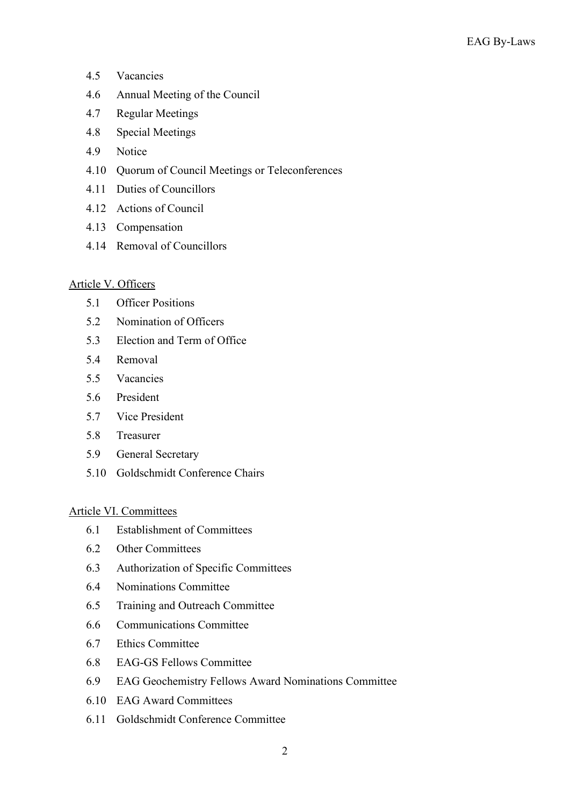- 4.5 Vacancies
- 4.6 Annual Meeting of the Council
- 4.7 Regular Meetings
- 4.8 Special Meetings
- 4.9 Notice
- 4.10 Quorum of Council Meetings or Teleconferences
- 4.11 Duties of Councillors
- 4.12 Actions of Council
- 4.13 Compensation
- 4.14 Removal of Councillors

## Article V. Officers

- 5.1 Officer Positions
- 5.2 Nomination of Officers
- 5.3 Election and Term of Office
- 5.4 Removal
- 5.5 Vacancies
- 5.6 President
- 5.7 Vice President
- 5.8 Treasurer
- 5.9 General Secretary
- 5.10 Goldschmidt Conference Chairs

## Article VI. Committees

- 6.1 Establishment of Committees
- 6.2 Other Committees
- 6.3 Authorization of Specific Committees
- 6.4 Nominations Committee
- 6.5 Training and Outreach Committee
- 6.6 Communications Committee
- 6.7 Ethics Committee
- 6.8 EAG-GS Fellows Committee
- 6.9 EAG Geochemistry Fellows Award Nominations Committee
- 6.10 EAG Award Committees
- 6.11 Goldschmidt Conference Committee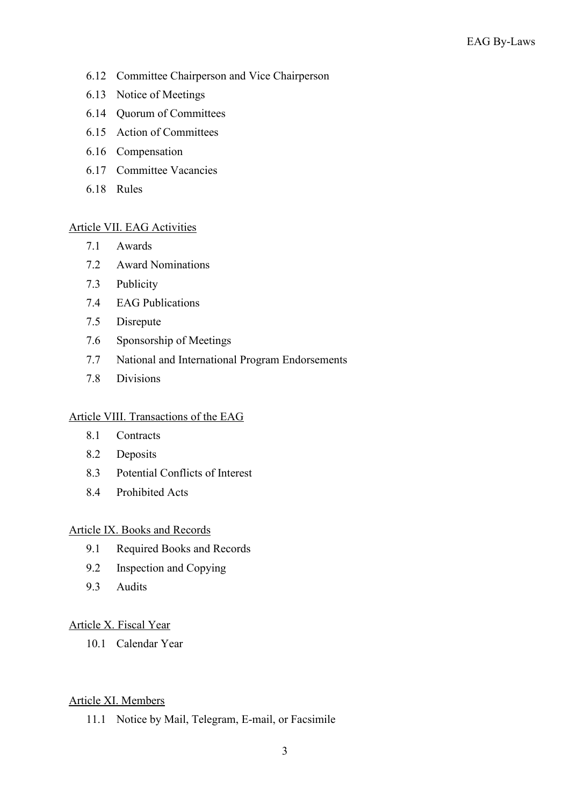- 6.12 Committee Chairperson and Vice Chairperson
- 6.13 Notice of Meetings
- 6.14 Quorum of Committees
- 6.15 Action of Committees
- 6.16 Compensation
- 6.17 Committee Vacancies
- 6.18 Rules

## Article VII. EAG Activities

- 7.1 Awards
- 7.2 Award Nominations
- 7.3 Publicity
- 7.4 EAG Publications
- 7.5 Disrepute
- 7.6 Sponsorship of Meetings
- 7.7 National and International Program Endorsements
- 7.8 Divisions

## Article VIII. Transactions of the EAG

- 8.1 Contracts
- 8.2 Deposits
- 8.3 Potential Conflicts of Interest
- 8.4 Prohibited Acts

## Article IX. Books and Records

- 9.1 Required Books and Records
- 9.2 Inspection and Copying
- 9.3 Audits

## Article X. Fiscal Year

10.1 Calendar Year

## Article XI. Members

11.1 Notice by Mail, Telegram, E-mail, or Facsimile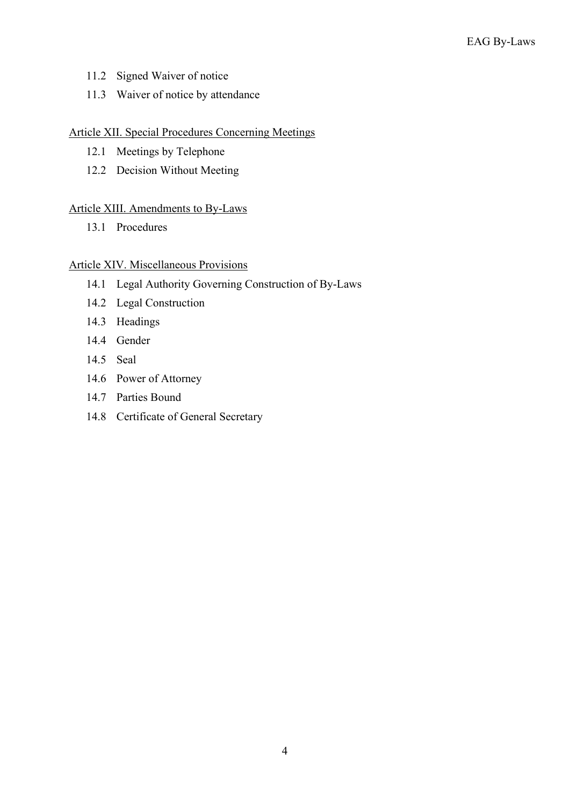- 11.2 Signed Waiver of notice
- 11.3 Waiver of notice by attendance

## Article XII. Special Procedures Concerning Meetings

- 12.1 Meetings by Telephone
- 12.2 Decision Without Meeting

## Article XIII. Amendments to By-Laws

13.1 Procedures

## Article XIV. Miscellaneous Provisions

- 14.1 Legal Authority Governing Construction of By-Laws
- 14.2 Legal Construction
- 14.3 Headings
- 14.4 Gender
- 14.5 Seal
- 14.6 Power of Attorney
- 14.7 Parties Bound
- 14.8 Certificate of General Secretary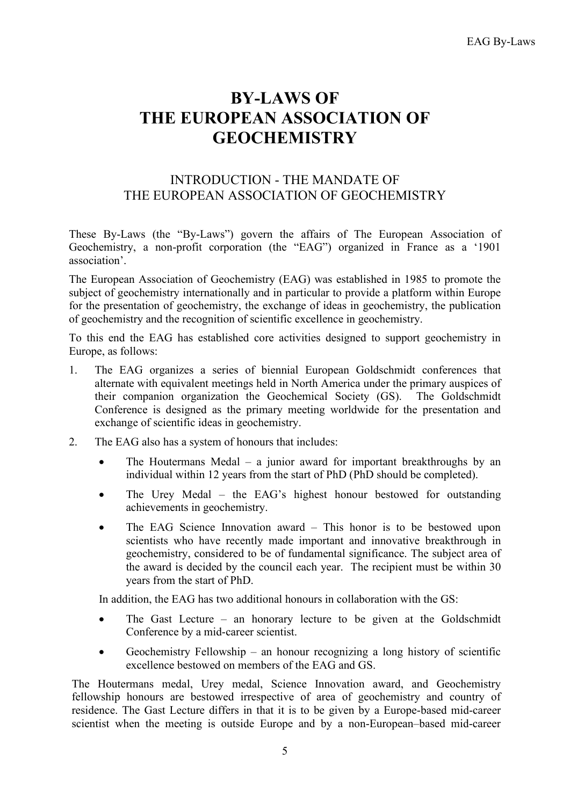# **BY-LAWS OF THE EUROPEAN ASSOCIATION OF GEOCHEMISTRY**

## INTRODUCTION - THE MANDATE OF THE EUROPEAN ASSOCIATION OF GEOCHEMISTRY

These By-Laws (the "By-Laws") govern the affairs of The European Association of Geochemistry, a non-profit corporation (the "EAG") organized in France as a '1901 association'.

The European Association of Geochemistry (EAG) was established in 1985 to promote the subject of geochemistry internationally and in particular to provide a platform within Europe for the presentation of geochemistry, the exchange of ideas in geochemistry, the publication of geochemistry and the recognition of scientific excellence in geochemistry.

To this end the EAG has established core activities designed to support geochemistry in Europe, as follows:

- 1. The EAG organizes a series of biennial European Goldschmidt conferences that alternate with equivalent meetings held in North America under the primary auspices of their companion organization the Geochemical Society (GS). The Goldschmidt Conference is designed as the primary meeting worldwide for the presentation and exchange of scientific ideas in geochemistry.
- 2. The EAG also has a system of honours that includes:
	- The Houtermans Medal a junior award for important breakthroughs by an individual within 12 years from the start of PhD (PhD should be completed).
	- The Urey Medal the EAG's highest honour bestowed for outstanding achievements in geochemistry.
	- The EAG Science Innovation award This honor is to be bestowed upon scientists who have recently made important and innovative breakthrough in geochemistry, considered to be of fundamental significance. The subject area of the award is decided by the council each year. The recipient must be within 30 years from the start of PhD.

In addition, the EAG has two additional honours in collaboration with the GS:

- The Gast Lecture an honorary lecture to be given at the Goldschmidt Conference by a mid-career scientist.
- Geochemistry Fellowship an honour recognizing a long history of scientific excellence bestowed on members of the EAG and GS.

The Houtermans medal, Urey medal, Science Innovation award, and Geochemistry fellowship honours are bestowed irrespective of area of geochemistry and country of residence. The Gast Lecture differs in that it is to be given by a Europe-based mid-career scientist when the meeting is outside Europe and by a non-European–based mid-career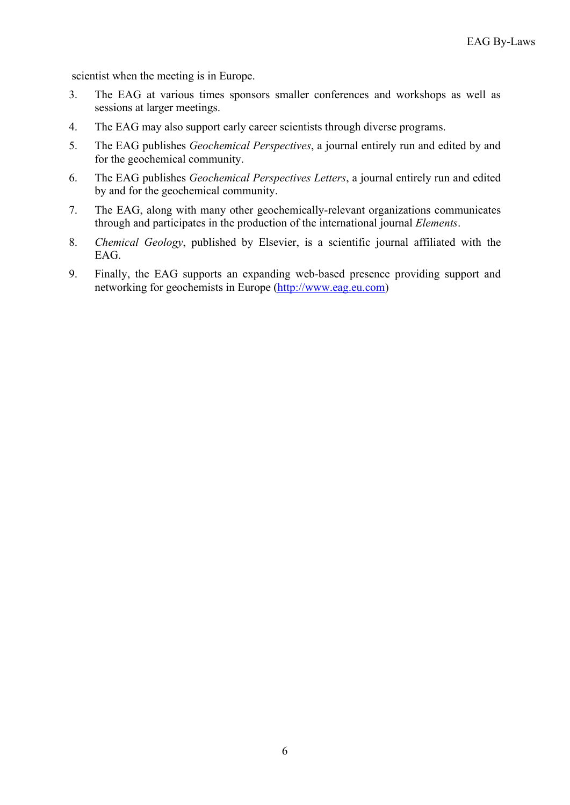scientist when the meeting is in Europe.

- 3. The EAG at various times sponsors smaller conferences and workshops as well as sessions at larger meetings.
- 4. The EAG may also support early career scientists through diverse programs.
- 5. The EAG publishes *Geochemical Perspectives*, a journal entirely run and edited by and for the geochemical community.
- 6. The EAG publishes *Geochemical Perspectives Letters*, a journal entirely run and edited by and for the geochemical community.
- 7. The EAG, along with many other geochemically-relevant organizations communicates through and participates in the production of the international journal *Elements*.
- 8. *Chemical Geology*, published by Elsevier, is a scientific journal affiliated with the EAG.
- 9. Finally, the EAG supports an expanding web-based presence providing support and networking for geochemists in Europe [\(http://www.eag.eu.com\)](http://www.eag.eu.com/)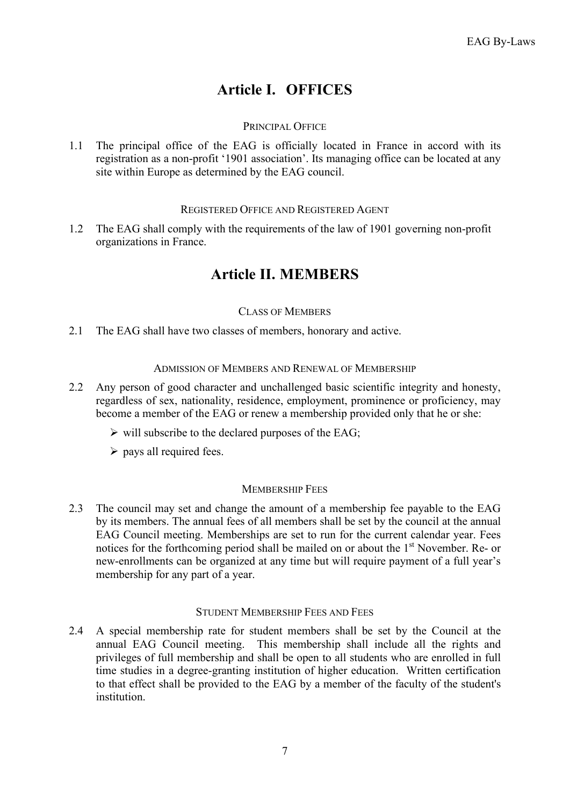# **Article I. OFFICES**

## PRINCIPAL OFFICE

1.1 The principal office of the EAG is officially located in France in accord with its registration as a non-profit '1901 association'. Its managing office can be located at any site within Europe as determined by the EAG council.

## REGISTERED OFFICE AND REGISTERED AGENT

1.2 The EAG shall comply with the requirements of the law of 1901 governing non-profit organizations in France.

## **Article II. MEMBERS**

## CLASS OF MEMBERS

2.1 The EAG shall have two classes of members, honorary and active.

## ADMISSION OF MEMBERS AND RENEWAL OF MEMBERSHIP

- 2.2 Any person of good character and unchallenged basic scientific integrity and honesty, regardless of sex, nationality, residence, employment, prominence or proficiency, may become a member of the EAG or renew a membership provided only that he or she:
	- $\triangleright$  will subscribe to the declared purposes of the EAG;
	- $\triangleright$  pays all required fees.

## MEMBERSHIP FEES

2.3 The council may set and change the amount of a membership fee payable to the EAG by its members. The annual fees of all members shall be set by the council at the annual EAG Council meeting. Memberships are set to run for the current calendar year. Fees notices for the forthcoming period shall be mailed on or about the 1<sup>st</sup> November. Re- or new-enrollments can be organized at any time but will require payment of a full year's membership for any part of a year.

## STUDENT MEMBERSHIP FEES AND FEES

2.4 A special membership rate for student members shall be set by the Council at the annual EAG Council meeting. This membership shall include all the rights and privileges of full membership and shall be open to all students who are enrolled in full time studies in a degree-granting institution of higher education. Written certification to that effect shall be provided to the EAG by a member of the faculty of the student's institution.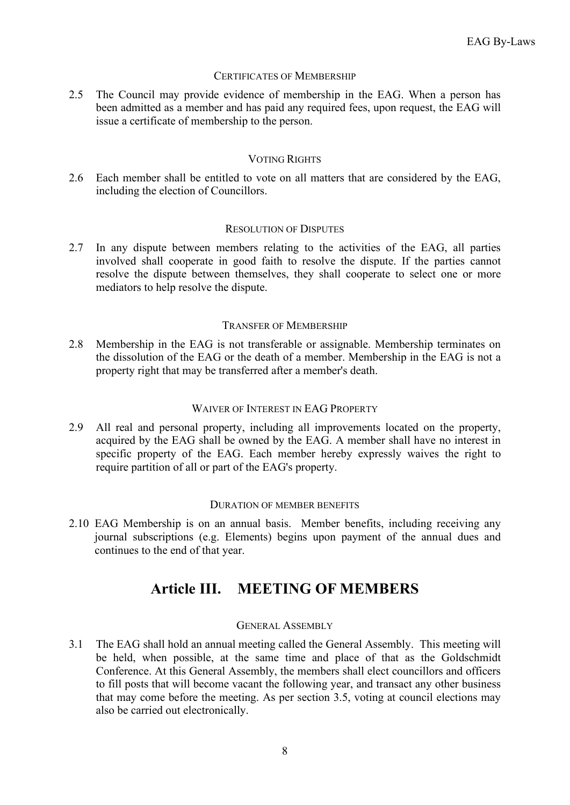## CERTIFICATES OF MEMBERSHIP

2.5 The Council may provide evidence of membership in the EAG. When a person has been admitted as a member and has paid any required fees, upon request, the EAG will issue a certificate of membership to the person.

#### VOTING RIGHTS

2.6 Each member shall be entitled to vote on all matters that are considered by the EAG, including the election of Councillors.

#### RESOLUTION OF DISPUTES

2.7 In any dispute between members relating to the activities of the EAG, all parties involved shall cooperate in good faith to resolve the dispute. If the parties cannot resolve the dispute between themselves, they shall cooperate to select one or more mediators to help resolve the dispute.

#### TRANSFER OF MEMBERSHIP

2.8 Membership in the EAG is not transferable or assignable. Membership terminates on the dissolution of the EAG or the death of a member. Membership in the EAG is not a property right that may be transferred after a member's death.

#### WAIVER OF INTEREST IN EAG PROPERTY

2.9 All real and personal property, including all improvements located on the property, acquired by the EAG shall be owned by the EAG. A member shall have no interest in specific property of the EAG. Each member hereby expressly waives the right to require partition of all or part of the EAG's property.

#### DURATION OF MEMBER BENEFITS

2.10 EAG Membership is on an annual basis. Member benefits, including receiving any journal subscriptions (e.g. Elements) begins upon payment of the annual dues and continues to the end of that year.

## **Article III. MEETING OF MEMBERS**

#### GENERAL ASSEMBLY

3.1 The EAG shall hold an annual meeting called the General Assembly. This meeting will be held, when possible, at the same time and place of that as the Goldschmidt Conference. At this General Assembly, the members shall elect councillors and officers to fill posts that will become vacant the following year, and transact any other business that may come before the meeting. As per section 3.5, voting at council elections may also be carried out electronically.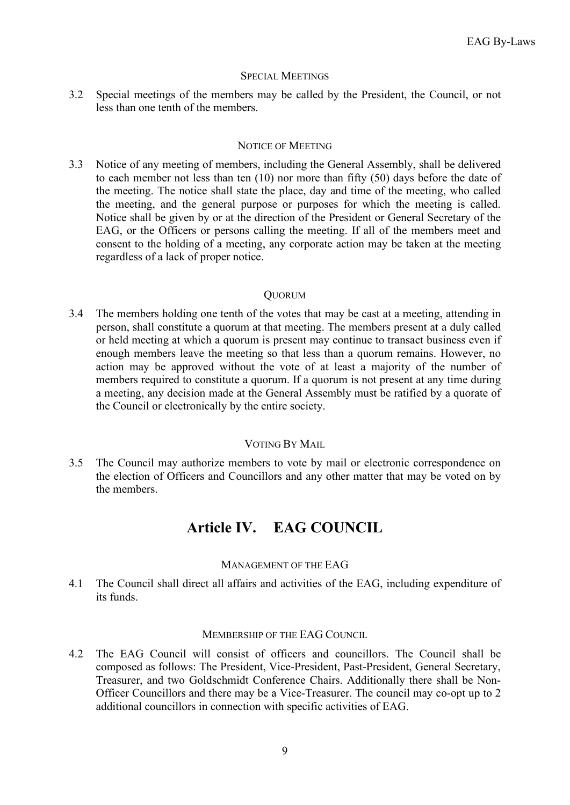#### SPECIAL MEETINGS

3.2 Special meetings of the members may be called by the President, the Council, or not less than one tenth of the members.

### NOTICE OF MEETING

3.3 Notice of any meeting of members, including the General Assembly, shall be delivered to each member not less than ten (10) nor more than fifty (50) days before the date of the meeting. The notice shall state the place, day and time of the meeting, who called the meeting, and the general purpose or purposes for which the meeting is called. Notice shall be given by or at the direction of the President or General Secretary of the EAG, or the Officers or persons calling the meeting. If all of the members meet and consent to the holding of a meeting, any corporate action may be taken at the meeting regardless of a lack of proper notice.

#### QUORUM

3.4 The members holding one tenth of the votes that may be cast at a meeting, attending in person, shall constitute a quorum at that meeting. The members present at a duly called or held meeting at which a quorum is present may continue to transact business even if enough members leave the meeting so that less than a quorum remains. However, no action may be approved without the vote of at least a majority of the number of members required to constitute a quorum. If a quorum is not present at any time during a meeting, any decision made at the General Assembly must be ratified by a quorate of the Council or electronically by the entire society.

## VOTING BY MAIL

3.5 The Council may authorize members to vote by mail or electronic correspondence on the election of Officers and Councillors and any other matter that may be voted on by the members.

## **Article IV. EAG COUNCIL**

## MANAGEMENT OF THE EAG

4.1 The Council shall direct all affairs and activities of the EAG, including expenditure of its funds.

### MEMBERSHIP OF THE EAG COUNCIL

4.2 The EAG Council will consist of officers and councillors. The Council shall be composed as follows: The President, Vice-President, Past-President, General Secretary, Treasurer, and two Goldschmidt Conference Chairs. Additionally there shall be Non-Officer Councillors and there may be a Vice-Treasurer. The council may co-opt up to 2 additional councillors in connection with specific activities of EAG.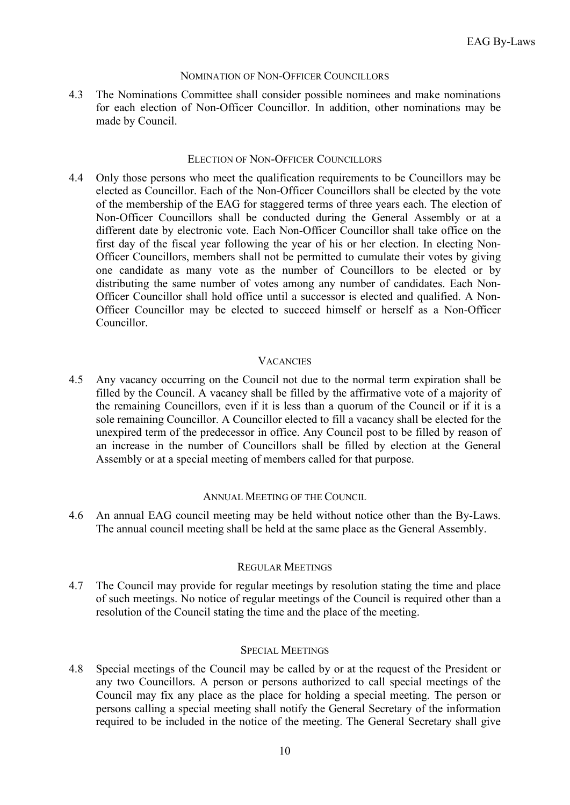#### NOMINATION OF NON-OFFICER COUNCILLORS

4.3 The Nominations Committee shall consider possible nominees and make nominations for each election of Non-Officer Councillor. In addition, other nominations may be made by Council.

#### ELECTION OF NON-OFFICER COUNCILLORS

4.4 Only those persons who meet the qualification requirements to be Councillors may be elected as Councillor. Each of the Non-Officer Councillors shall be elected by the vote of the membership of the EAG for staggered terms of three years each. The election of Non-Officer Councillors shall be conducted during the General Assembly or at a different date by electronic vote. Each Non-Officer Councillor shall take office on the first day of the fiscal year following the year of his or her election. In electing Non-Officer Councillors, members shall not be permitted to cumulate their votes by giving one candidate as many vote as the number of Councillors to be elected or by distributing the same number of votes among any number of candidates. Each Non-Officer Councillor shall hold office until a successor is elected and qualified. A Non-Officer Councillor may be elected to succeed himself or herself as a Non-Officer Councillor.

## **VACANCIES**

4.5 Any vacancy occurring on the Council not due to the normal term expiration shall be filled by the Council. A vacancy shall be filled by the affirmative vote of a majority of the remaining Councillors, even if it is less than a quorum of the Council or if it is a sole remaining Councillor. A Councillor elected to fill a vacancy shall be elected for the unexpired term of the predecessor in office. Any Council post to be filled by reason of an increase in the number of Councillors shall be filled by election at the General Assembly or at a special meeting of members called for that purpose.

## ANNUAL MEETING OF THE COUNCIL

4.6 An annual EAG council meeting may be held without notice other than the By-Laws. The annual council meeting shall be held at the same place as the General Assembly.

## REGULAR MEETINGS

4.7 The Council may provide for regular meetings by resolution stating the time and place of such meetings. No notice of regular meetings of the Council is required other than a resolution of the Council stating the time and the place of the meeting.

#### SPECIAL MEETINGS

4.8 Special meetings of the Council may be called by or at the request of the President or any two Councillors. A person or persons authorized to call special meetings of the Council may fix any place as the place for holding a special meeting. The person or persons calling a special meeting shall notify the General Secretary of the information required to be included in the notice of the meeting. The General Secretary shall give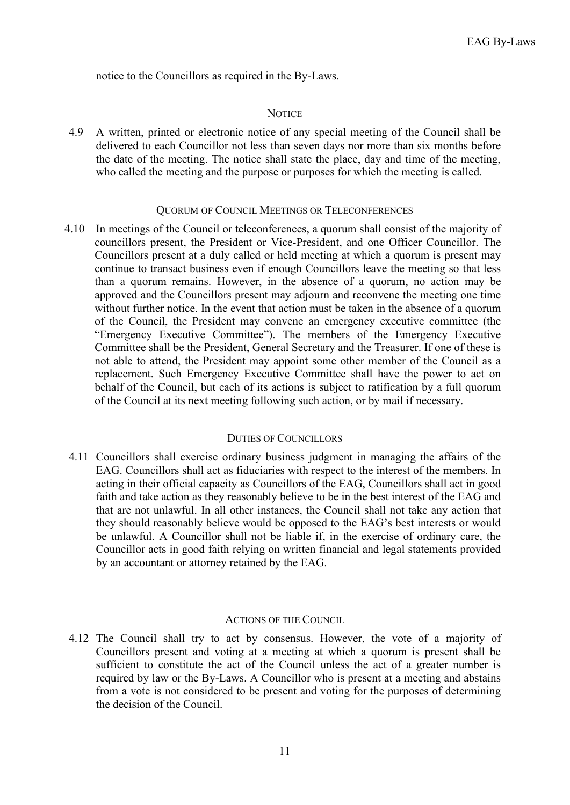notice to the Councillors as required in the By-Laws.

#### **NOTICE**

4.9 A written, printed or electronic notice of any special meeting of the Council shall be delivered to each Councillor not less than seven days nor more than six months before the date of the meeting. The notice shall state the place, day and time of the meeting, who called the meeting and the purpose or purposes for which the meeting is called.

#### QUORUM OF COUNCIL MEETINGS OR TELECONFERENCES

4.10 In meetings of the Council or teleconferences, a quorum shall consist of the majority of councillors present, the President or Vice-President, and one Officer Councillor. The Councillors present at a duly called or held meeting at which a quorum is present may continue to transact business even if enough Councillors leave the meeting so that less than a quorum remains. However, in the absence of a quorum, no action may be approved and the Councillors present may adjourn and reconvene the meeting one time without further notice. In the event that action must be taken in the absence of a quorum of the Council, the President may convene an emergency executive committee (the "Emergency Executive Committee"). The members of the Emergency Executive Committee shall be the President, General Secretary and the Treasurer. If one of these is not able to attend, the President may appoint some other member of the Council as a replacement. Such Emergency Executive Committee shall have the power to act on behalf of the Council, but each of its actions is subject to ratification by a full quorum of the Council at its next meeting following such action, or by mail if necessary.

#### DUTIES OF COUNCILLORS

4.11 Councillors shall exercise ordinary business judgment in managing the affairs of the EAG. Councillors shall act as fiduciaries with respect to the interest of the members. In acting in their official capacity as Councillors of the EAG, Councillors shall act in good faith and take action as they reasonably believe to be in the best interest of the EAG and that are not unlawful. In all other instances, the Council shall not take any action that they should reasonably believe would be opposed to the EAG's best interests or would be unlawful. A Councillor shall not be liable if, in the exercise of ordinary care, the Councillor acts in good faith relying on written financial and legal statements provided by an accountant or attorney retained by the EAG.

#### ACTIONS OF THE COUNCIL

4.12 The Council shall try to act by consensus. However, the vote of a majority of Councillors present and voting at a meeting at which a quorum is present shall be sufficient to constitute the act of the Council unless the act of a greater number is required by law or the By-Laws. A Councillor who is present at a meeting and abstains from a vote is not considered to be present and voting for the purposes of determining the decision of the Council.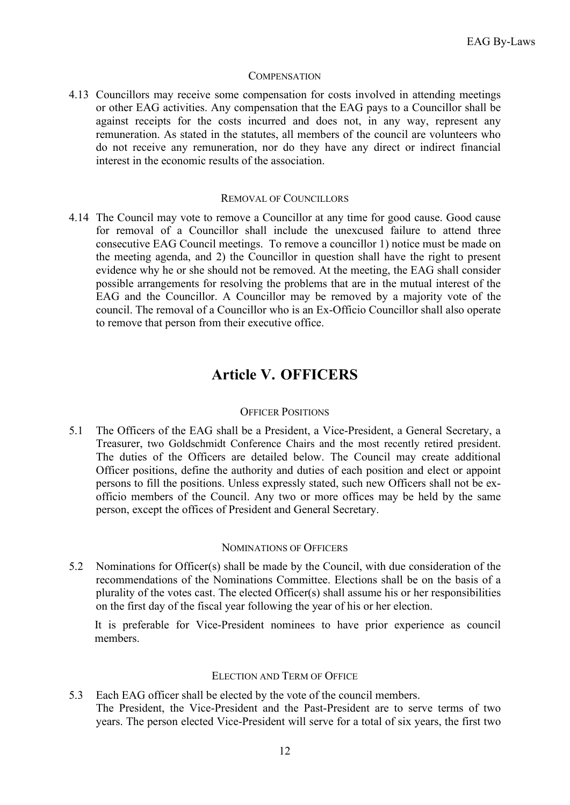#### **COMPENSATION**

4.13 Councillors may receive some compensation for costs involved in attending meetings or other EAG activities. Any compensation that the EAG pays to a Councillor shall be against receipts for the costs incurred and does not, in any way, represent any remuneration. As stated in the statutes, all members of the council are volunteers who do not receive any remuneration, nor do they have any direct or indirect financial interest in the economic results of the association.

#### REMOVAL OF COUNCILLORS

4.14 The Council may vote to remove a Councillor at any time for good cause. Good cause for removal of a Councillor shall include the unexcused failure to attend three consecutive EAG Council meetings. To remove a councillor 1) notice must be made on the meeting agenda, and 2) the Councillor in question shall have the right to present evidence why he or she should not be removed. At the meeting, the EAG shall consider possible arrangements for resolving the problems that are in the mutual interest of the EAG and the Councillor. A Councillor may be removed by a majority vote of the council. The removal of a Councillor who is an Ex-Officio Councillor shall also operate to remove that person from their executive office.

## **Article V. OFFICERS**

## OFFICER POSITIONS

5.1 The Officers of the EAG shall be a President, a Vice-President, a General Secretary, a Treasurer, two Goldschmidt Conference Chairs and the most recently retired president. The duties of the Officers are detailed below. The Council may create additional Officer positions, define the authority and duties of each position and elect or appoint persons to fill the positions. Unless expressly stated, such new Officers shall not be exofficio members of the Council. Any two or more offices may be held by the same person, except the offices of President and General Secretary.

## NOMINATIONS OF OFFICERS

5.2 Nominations for Officer(s) shall be made by the Council, with due consideration of the recommendations of the Nominations Committee. Elections shall be on the basis of a plurality of the votes cast. The elected Officer(s) shall assume his or her responsibilities on the first day of the fiscal year following the year of his or her election.

It is preferable for Vice-President nominees to have prior experience as council members.

### ELECTION AND TERM OF OFFICE

5.3 Each EAG officer shall be elected by the vote of the council members. The President, the Vice-President and the Past-President are to serve terms of two years. The person elected Vice-President will serve for a total of six years, the first two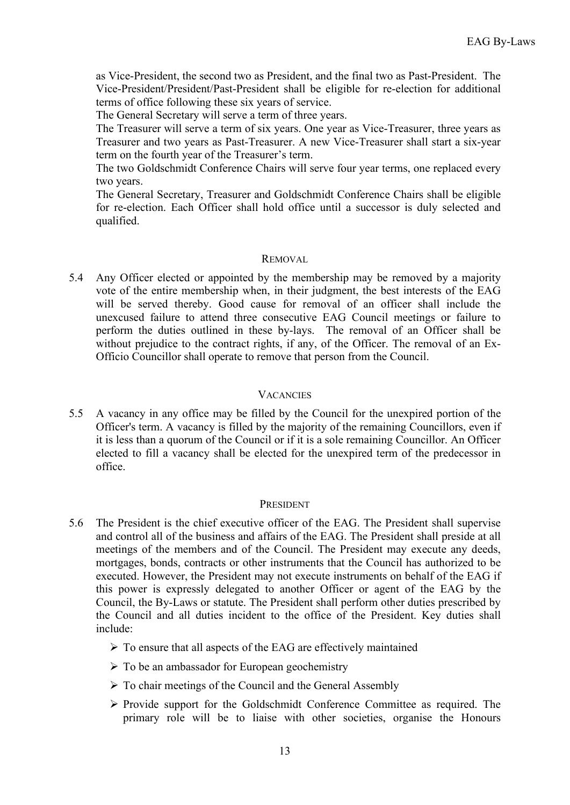as Vice-President, the second two as President, and the final two as Past-President. The Vice-President/President/Past-President shall be eligible for re-election for additional terms of office following these six years of service.

The General Secretary will serve a term of three years.

The Treasurer will serve a term of six years. One year as Vice-Treasurer, three years as Treasurer and two years as Past-Treasurer. A new Vice-Treasurer shall start a six-year term on the fourth year of the Treasurer's term.

The two Goldschmidt Conference Chairs will serve four year terms, one replaced every two years.

The General Secretary, Treasurer and Goldschmidt Conference Chairs shall be eligible for re-election. Each Officer shall hold office until a successor is duly selected and qualified.

#### REMOVAL

5.4 Any Officer elected or appointed by the membership may be removed by a majority vote of the entire membership when, in their judgment, the best interests of the EAG will be served thereby. Good cause for removal of an officer shall include the unexcused failure to attend three consecutive EAG Council meetings or failure to perform the duties outlined in these by-lays. The removal of an Officer shall be without prejudice to the contract rights, if any, of the Officer. The removal of an Ex-Officio Councillor shall operate to remove that person from the Council.

## **VACANCIES**

5.5 A vacancy in any office may be filled by the Council for the unexpired portion of the Officer's term. A vacancy is filled by the majority of the remaining Councillors, even if it is less than a quorum of the Council or if it is a sole remaining Councillor. An Officer elected to fill a vacancy shall be elected for the unexpired term of the predecessor in office.

## PRESIDENT

- 5.6 The President is the chief executive officer of the EAG. The President shall supervise and control all of the business and affairs of the EAG. The President shall preside at all meetings of the members and of the Council. The President may execute any deeds, mortgages, bonds, contracts or other instruments that the Council has authorized to be executed. However, the President may not execute instruments on behalf of the EAG if this power is expressly delegated to another Officer or agent of the EAG by the Council, the By-Laws or statute. The President shall perform other duties prescribed by the Council and all duties incident to the office of the President. Key duties shall include:
	- $\triangleright$  To ensure that all aspects of the EAG are effectively maintained
	- $\triangleright$  To be an ambassador for European geochemistry
	- $\triangleright$  To chair meetings of the Council and the General Assembly
	- $\triangleright$  Provide support for the Goldschmidt Conference Committee as required. The primary role will be to liaise with other societies, organise the Honours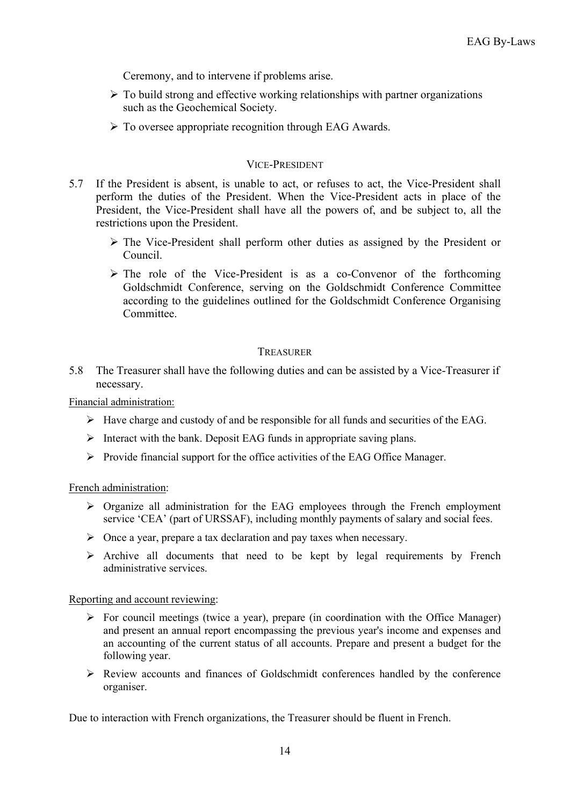Ceremony, and to intervene if problems arise.

- $\triangleright$  To build strong and effective working relationships with partner organizations such as the Geochemical Society.
- $\triangleright$  To oversee appropriate recognition through EAG Awards.

## VICE-PRESIDENT

- 5.7 If the President is absent, is unable to act, or refuses to act, the Vice-President shall perform the duties of the President. When the Vice-President acts in place of the President, the Vice-President shall have all the powers of, and be subject to, all the restrictions upon the President.
	- The Vice-President shall perform other duties as assigned by the President or Council.
	- $\triangleright$  The role of the Vice-President is as a co-Convenor of the forthcoming Goldschmidt Conference, serving on the Goldschmidt Conference Committee according to the guidelines outlined for the Goldschmidt Conference Organising Committee.

## **TREASURER**

5.8 The Treasurer shall have the following duties and can be assisted by a Vice-Treasurer if necessary.

Financial administration:

- $\triangleright$  Have charge and custody of and be responsible for all funds and securities of the EAG.
- $\triangleright$  Interact with the bank. Deposit EAG funds in appropriate saving plans.
- $\triangleright$  Provide financial support for the office activities of the EAG Office Manager.

## French administration:

- $\triangleright$  Organize all administration for the EAG employees through the French employment service 'CEA' (part of URSSAF), including monthly payments of salary and social fees.
- $\triangleright$  Once a year, prepare a tax declaration and pay taxes when necessary.
- $\triangleright$  Archive all documents that need to be kept by legal requirements by French administrative services.

Reporting and account reviewing:

- $\triangleright$  For council meetings (twice a year), prepare (in coordination with the Office Manager) and present an annual report encompassing the previous year's income and expenses and an accounting of the current status of all accounts. Prepare and present a budget for the following year.
- Review accounts and finances of Goldschmidt conferences handled by the conference organiser.

Due to interaction with French organizations, the Treasurer should be fluent in French.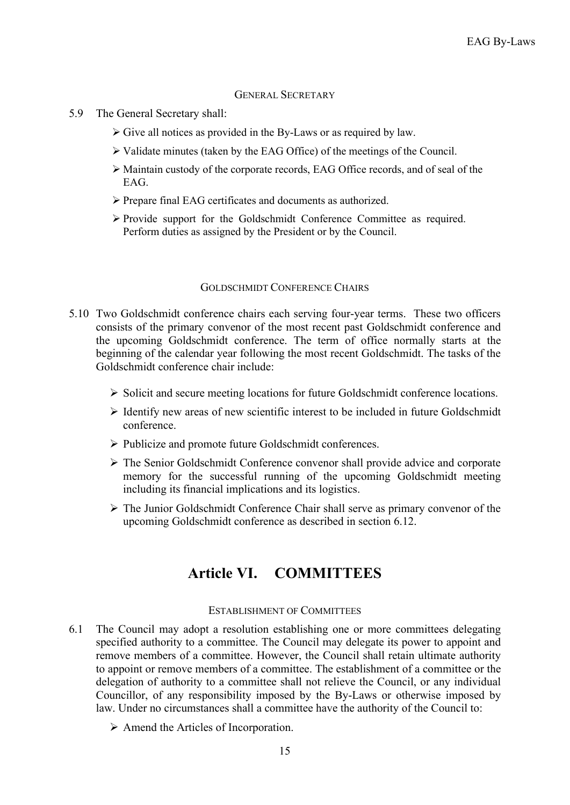#### GENERAL SECRETARY

- 5.9 The General Secretary shall:
	- $\triangleright$  Give all notices as provided in the By-Laws or as required by law.
	- Validate minutes (taken by the EAG Office) of the meetings of the Council.
	- Maintain custody of the corporate records, EAG Office records, and of seal of the EAG.
	- Prepare final EAG certificates and documents as authorized.
	- Provide support for the Goldschmidt Conference Committee as required. Perform duties as assigned by the President or by the Council.

#### GOLDSCHMIDT CONFERENCE CHAIRS

- 5.10 Two Goldschmidt conference chairs each serving four-year terms. These two officers consists of the primary convenor of the most recent past Goldschmidt conference and the upcoming Goldschmidt conference. The term of office normally starts at the beginning of the calendar year following the most recent Goldschmidt. The tasks of the Goldschmidt conference chair include:
	- $\triangleright$  Solicit and secure meeting locations for future Goldschmidt conference locations.
	- $\triangleright$  Identify new areas of new scientific interest to be included in future Goldschmidt conference.
	- > Publicize and promote future Goldschmidt conferences.
	- The Senior Goldschmidt Conference convenor shall provide advice and corporate memory for the successful running of the upcoming Goldschmidt meeting including its financial implications and its logistics.
	- The Junior Goldschmidt Conference Chair shall serve as primary convenor of the upcoming Goldschmidt conference as described in section 6.12.

## **Article VI. COMMITTEES**

#### ESTABLISHMENT OF COMMITTEES

- 6.1 The Council may adopt a resolution establishing one or more committees delegating specified authority to a committee. The Council may delegate its power to appoint and remove members of a committee. However, the Council shall retain ultimate authority to appoint or remove members of a committee. The establishment of a committee or the delegation of authority to a committee shall not relieve the Council, or any individual Councillor, of any responsibility imposed by the By-Laws or otherwise imposed by law. Under no circumstances shall a committee have the authority of the Council to:
	- $\triangleright$  Amend the Articles of Incorporation.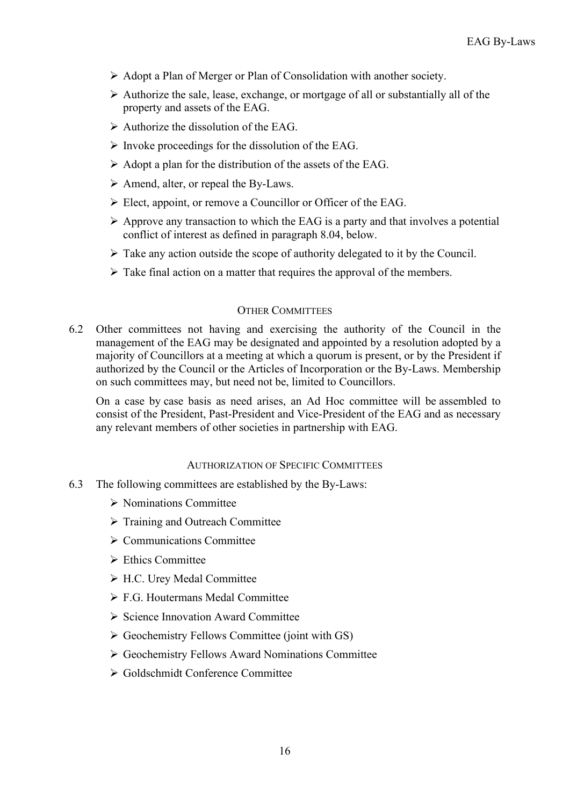- Adopt a Plan of Merger or Plan of Consolidation with another society.
- $\triangleright$  Authorize the sale, lease, exchange, or mortgage of all or substantially all of the property and assets of the EAG.
- $\triangleright$  Authorize the dissolution of the EAG.
- $\triangleright$  Invoke proceedings for the dissolution of the EAG.
- $\triangleright$  Adopt a plan for the distribution of the assets of the EAG.
- $\triangleright$  Amend, alter, or repeal the By-Laws.
- Elect, appoint, or remove a Councillor or Officer of the EAG.
- $\triangleright$  Approve any transaction to which the EAG is a party and that involves a potential conflict of interest as defined in paragraph 8.04, below.
- $\triangleright$  Take any action outside the scope of authority delegated to it by the Council.
- $\triangleright$  Take final action on a matter that requires the approval of the members.

## OTHER COMMITTEES

6.2 Other committees not having and exercising the authority of the Council in the management of the EAG may be designated and appointed by a resolution adopted by a majority of Councillors at a meeting at which a quorum is present, or by the President if authorized by the Council or the Articles of Incorporation or the By-Laws. Membership on such committees may, but need not be, limited to Councillors.

On a case by case basis as need arises, an Ad Hoc committee will be assembled to consist of the President, Past-President and Vice-President of the EAG and as necessary any relevant members of other societies in partnership with EAG.

## AUTHORIZATION OF SPECIFIC COMMITTEES

- 6.3 The following committees are established by the By-Laws:
	- Nominations Committee
	- > Training and Outreach Committee
	- $\triangleright$  Communications Committee
	- $\triangleright$  Ethics Committee
	- H.C. Urey Medal Committee
	- F.G. Houtermans Medal Committee
	- $\triangleright$  Science Innovation Award Committee
	- $\triangleright$  Geochemistry Fellows Committee (joint with GS)
	- Geochemistry Fellows Award Nominations Committee
	- Goldschmidt Conference Committee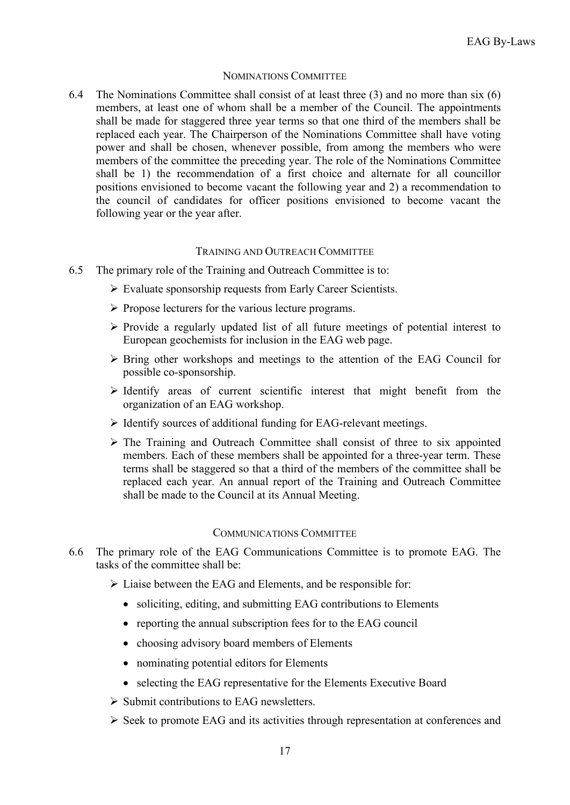## NOMINATIONS COMMITTEE

6.4 The Nominations Committee shall consist of at least three (3) and no more than six (6) members, at least one of whom shall be a member of the Council. The appointments shall be made for staggered three year terms so that one third of the members shall be replaced each year. The Chairperson of the Nominations Committee shall have voting power and shall be chosen, whenever possible, from among the members who were members of the committee the preceding year. The role of the Nominations Committee shall be 1) the recommendation of a first choice and alternate for all councillor positions envisioned to become vacant the following year and 2) a recommendation to the council of candidates for officer positions envisioned to become vacant the following year or the year after.

#### TRAINING AND OUTREACH COMMITTEE

- 6.5 The primary role of the Training and Outreach Committee is to:
	- $\triangleright$  Evaluate sponsorship requests from Early Career Scientists.
	- $\triangleright$  Propose lecturers for the various lecture programs.
	- $\triangleright$  Provide a regularly updated list of all future meetings of potential interest to European geochemists for inclusion in the EAG web page.
	- $\triangleright$  Bring other workshops and meetings to the attention of the EAG Council for possible co-sponsorship.
	- $\triangleright$  Identify areas of current scientific interest that might benefit from the organization of an EAG workshop.
	- $\triangleright$  Identify sources of additional funding for EAG-relevant meetings.
	- $\triangleright$  The Training and Outreach Committee shall consist of three to six appointed members. Each of these members shall be appointed for a three-year term. These terms shall be staggered so that a third of the members of the committee shall be replaced each year. An annual report of the Training and Outreach Committee shall be made to the Council at its Annual Meeting.

#### COMMUNICATIONS COMMITTEE

- 6.6 The primary role of the EAG Communications Committee is to promote EAG. The tasks of the committee shall be:
	- $\triangleright$  Liaise between the EAG and Elements, and be responsible for:
		- soliciting, editing, and submitting EAG contributions to Elements
		- reporting the annual subscription fees for to the EAG council
		- choosing advisory board members of Elements
		- nominating potential editors for Elements
		- selecting the EAG representative for the Elements Executive Board
	- $\triangleright$  Submit contributions to EAG newsletters.
	- $\triangleright$  Seek to promote EAG and its activities through representation at conferences and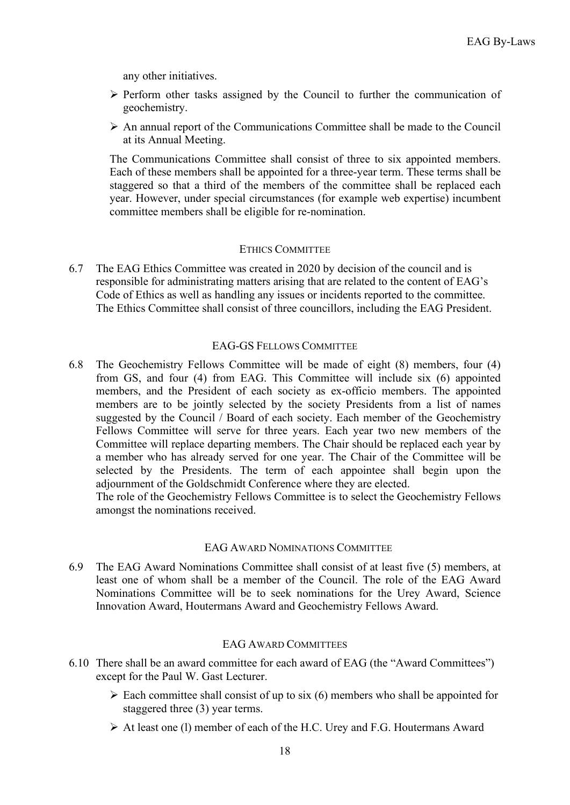any other initiatives.

- $\triangleright$  Perform other tasks assigned by the Council to further the communication of geochemistry.
- $\triangleright$  An annual report of the Communications Committee shall be made to the Council at its Annual Meeting.

The Communications Committee shall consist of three to six appointed members. Each of these members shall be appointed for a three-year term. These terms shall be staggered so that a third of the members of the committee shall be replaced each year. However, under special circumstances (for example web expertise) incumbent committee members shall be eligible for re-nomination.

#### ETHICS COMMITTEE

6.7 The EAG Ethics Committee was created in 2020 by decision of the council and is responsible for administrating matters arising that are related to the content of EAG's Code of Ethics as well as handling any issues or incidents reported to the committee. The Ethics Committee shall consist of three councillors, including the EAG President.

#### EAG-GS FELLOWS COMMITTEE

6.8 The Geochemistry Fellows Committee will be made of eight (8) members, four (4) from GS, and four (4) from EAG. This Committee will include six (6) appointed members, and the President of each society as ex-officio members. The appointed members are to be jointly selected by the society Presidents from a list of names suggested by the Council / Board of each society. Each member of the Geochemistry Fellows Committee will serve for three years. Each year two new members of the Committee will replace departing members. The Chair should be replaced each year by a member who has already served for one year. The Chair of the Committee will be selected by the Presidents. The term of each appointee shall begin upon the adjournment of the Goldschmidt Conference where they are elected.

The role of the Geochemistry Fellows Committee is to select the Geochemistry Fellows amongst the nominations received.

#### EAG AWARD NOMINATIONS COMMITTEE

6.9 The EAG Award Nominations Committee shall consist of at least five (5) members, at least one of whom shall be a member of the Council. The role of the EAG Award Nominations Committee will be to seek nominations for the Urey Award, Science Innovation Award, Houtermans Award and Geochemistry Fellows Award.

#### EAG AWARD COMMITTEES

- 6.10 There shall be an award committee for each award of EAG (the "Award Committees") except for the Paul W. Gast Lecturer.
	- $\triangleright$  Each committee shall consist of up to six (6) members who shall be appointed for staggered three (3) year terms.
	- $\triangleright$  At least one (1) member of each of the H.C. Urey and F.G. Houtermans Award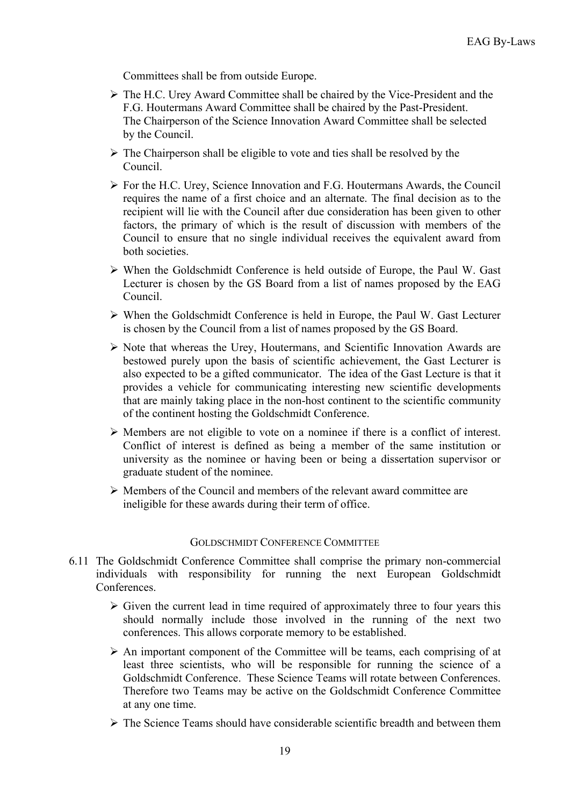Committees shall be from outside Europe.

- The H.C. Urey Award Committee shall be chaired by the Vice-President and the F.G. Houtermans Award Committee shall be chaired by the Past-President. The Chairperson of the Science Innovation Award Committee shall be selected by the Council.
- $\triangleright$  The Chairperson shall be eligible to vote and ties shall be resolved by the Council.
- $\triangleright$  For the H.C. Urey, Science Innovation and F.G. Houtermans Awards, the Council requires the name of a first choice and an alternate. The final decision as to the recipient will lie with the Council after due consideration has been given to other factors, the primary of which is the result of discussion with members of the Council to ensure that no single individual receives the equivalent award from both societies.
- $\triangleright$  When the Goldschmidt Conference is held outside of Europe, the Paul W. Gast Lecturer is chosen by the GS Board from a list of names proposed by the EAG Council.
- When the Goldschmidt Conference is held in Europe, the Paul W. Gast Lecturer is chosen by the Council from a list of names proposed by the GS Board.
- $\triangleright$  Note that whereas the Urey, Houtermans, and Scientific Innovation Awards are bestowed purely upon the basis of scientific achievement, the Gast Lecturer is also expected to be a gifted communicator. The idea of the Gast Lecture is that it provides a vehicle for communicating interesting new scientific developments that are mainly taking place in the non-host continent to the scientific community of the continent hosting the Goldschmidt Conference.
- Members are not eligible to vote on a nominee if there is a conflict of interest. Conflict of interest is defined as being a member of the same institution or university as the nominee or having been or being a dissertation supervisor or graduate student of the nominee.
- $\triangleright$  Members of the Council and members of the relevant award committee are ineligible for these awards during their term of office.

#### GOLDSCHMIDT CONFERENCE COMMITTEE

- 6.11 The Goldschmidt Conference Committee shall comprise the primary non-commercial individuals with responsibility for running the next European Goldschmidt Conferences.
	- $\triangleright$  Given the current lead in time required of approximately three to four years this should normally include those involved in the running of the next two conferences. This allows corporate memory to be established.
	- $\triangleright$  An important component of the Committee will be teams, each comprising of at least three scientists, who will be responsible for running the science of a Goldschmidt Conference. These Science Teams will rotate between Conferences. Therefore two Teams may be active on the Goldschmidt Conference Committee at any one time.
	- $\triangleright$  The Science Teams should have considerable scientific breadth and between them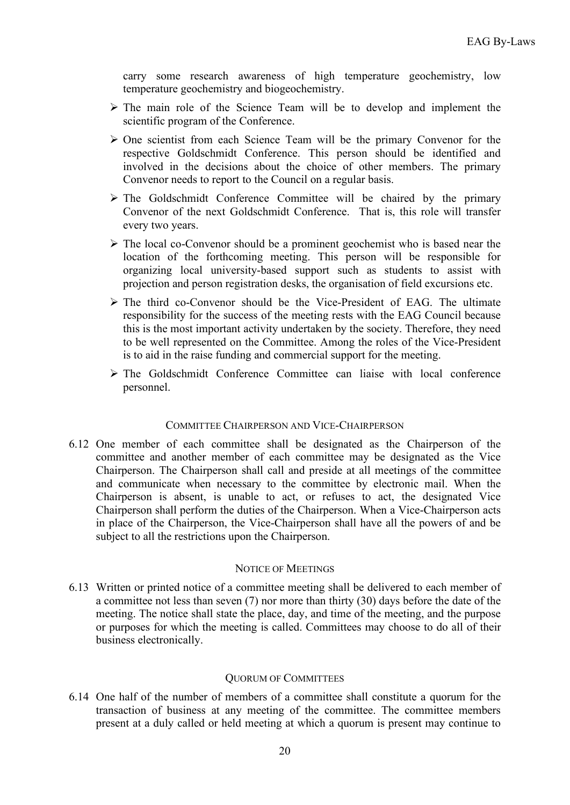carry some research awareness of high temperature geochemistry, low temperature geochemistry and biogeochemistry.

- $\triangleright$  The main role of the Science Team will be to develop and implement the scientific program of the Conference.
- $\triangleright$  One scientist from each Science Team will be the primary Convenor for the respective Goldschmidt Conference. This person should be identified and involved in the decisions about the choice of other members. The primary Convenor needs to report to the Council on a regular basis.
- $\triangleright$  The Goldschmidt Conference Committee will be chaired by the primary Convenor of the next Goldschmidt Conference. That is, this role will transfer every two years.
- $\triangleright$  The local co-Convenor should be a prominent geochemist who is based near the location of the forthcoming meeting. This person will be responsible for organizing local university-based support such as students to assist with projection and person registration desks, the organisation of field excursions etc.
- $\triangleright$  The third co-Convenor should be the Vice-President of EAG. The ultimate responsibility for the success of the meeting rests with the EAG Council because this is the most important activity undertaken by the society. Therefore, they need to be well represented on the Committee. Among the roles of the Vice-President is to aid in the raise funding and commercial support for the meeting.
- The Goldschmidt Conference Committee can liaise with local conference personnel.

## COMMITTEE CHAIRPERSON AND VICE-CHAIRPERSON

6.12 One member of each committee shall be designated as the Chairperson of the committee and another member of each committee may be designated as the Vice Chairperson. The Chairperson shall call and preside at all meetings of the committee and communicate when necessary to the committee by electronic mail. When the Chairperson is absent, is unable to act, or refuses to act, the designated Vice Chairperson shall perform the duties of the Chairperson. When a Vice-Chairperson acts in place of the Chairperson, the Vice-Chairperson shall have all the powers of and be subject to all the restrictions upon the Chairperson.

#### NOTICE OF MEETINGS

6.13 Written or printed notice of a committee meeting shall be delivered to each member of a committee not less than seven (7) nor more than thirty (30) days before the date of the meeting. The notice shall state the place, day, and time of the meeting, and the purpose or purposes for which the meeting is called. Committees may choose to do all of their business electronically.

#### QUORUM OF COMMITTEES

6.14 One half of the number of members of a committee shall constitute a quorum for the transaction of business at any meeting of the committee. The committee members present at a duly called or held meeting at which a quorum is present may continue to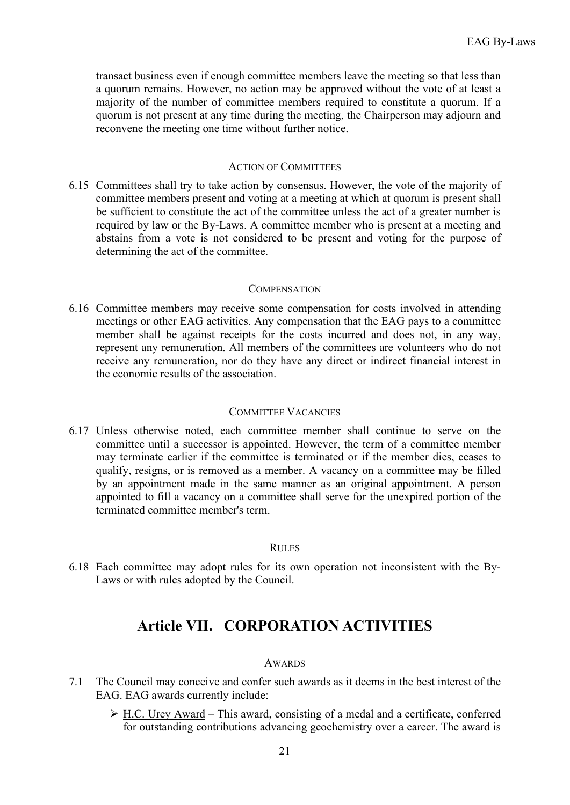transact business even if enough committee members leave the meeting so that less than a quorum remains. However, no action may be approved without the vote of at least a majority of the number of committee members required to constitute a quorum. If a quorum is not present at any time during the meeting, the Chairperson may adjourn and reconvene the meeting one time without further notice.

### ACTION OF COMMITTEES

6.15 Committees shall try to take action by consensus. However, the vote of the majority of committee members present and voting at a meeting at which at quorum is present shall be sufficient to constitute the act of the committee unless the act of a greater number is required by law or the By-Laws. A committee member who is present at a meeting and abstains from a vote is not considered to be present and voting for the purpose of determining the act of the committee.

#### **COMPENSATION**

6.16 Committee members may receive some compensation for costs involved in attending meetings or other EAG activities. Any compensation that the EAG pays to a committee member shall be against receipts for the costs incurred and does not, in any way, represent any remuneration. All members of the committees are volunteers who do not receive any remuneration, nor do they have any direct or indirect financial interest in the economic results of the association.

## COMMITTEE VACANCIES

6.17 Unless otherwise noted, each committee member shall continue to serve on the committee until a successor is appointed. However, the term of a committee member may terminate earlier if the committee is terminated or if the member dies, ceases to qualify, resigns, or is removed as a member. A vacancy on a committee may be filled by an appointment made in the same manner as an original appointment. A person appointed to fill a vacancy on a committee shall serve for the unexpired portion of the terminated committee member's term.

## RULES

6.18 Each committee may adopt rules for its own operation not inconsistent with the By-Laws or with rules adopted by the Council.

# **Article VII. CORPORATION ACTIVITIES**

## AWARDS

- 7.1 The Council may conceive and confer such awards as it deems in the best interest of the EAG. EAG awards currently include:
	- H.C. Urey Award This award, consisting of a medal and a certificate, conferred for outstanding contributions advancing geochemistry over a career. The award is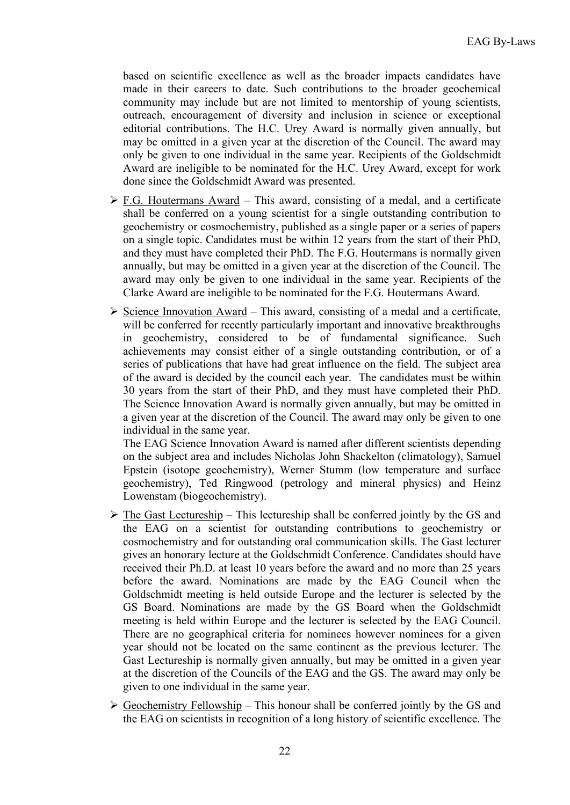based on scientific excellence as well as the broader impacts candidates have made in their careers to date. Such contributions to the broader geochemical community may include but are not limited to mentorship of young scientists, outreach, encouragement of diversity and inclusion in science or exceptional editorial contributions. The H.C. Urey Award is normally given annually, but may be omitted in a given year at the discretion of the Council. The award may only be given to one individual in the same year. Recipients of the Goldschmidt Award are ineligible to be nominated for the H.C. Urey Award, except for work done since the Goldschmidt Award was presented.

- $\triangleright$  F.G. Houtermans Award This award, consisting of a medal, and a certificate shall be conferred on a young scientist for a single outstanding contribution to geochemistry or cosmochemistry, published as a single paper or a series of papers on a single topic. Candidates must be within 12 years from the start of their PhD, and they must have completed their PhD. The F.G. Houtermans is normally given annually, but may be omitted in a given year at the discretion of the Council. The award may only be given to one individual in the same year. Recipients of the Clarke Award are ineligible to be nominated for the F.G. Houtermans Award.
- $\triangleright$  Science Innovation Award This award, consisting of a medal and a certificate, will be conferred for recently particularly important and innovative breakthroughs in geochemistry, considered to be of fundamental significance. Such achievements may consist either of a single outstanding contribution, or of a series of publications that have had great influence on the field. The subject area of the award is decided by the council each year. The candidates must be within 30 years from the start of their PhD, and they must have completed their PhD. The Science Innovation Award is normally given annually, but may be omitted in a given year at the discretion of the Council. The award may only be given to one individual in the same year.

The EAG Science Innovation Award is named after different scientists depending on the subject area and includes Nicholas John Shackelton (climatology), Samuel Epstein (isotope geochemistry), Werner Stumm (low temperature and surface geochemistry), Ted Ringwood (petrology and mineral physics) and Heinz Lowenstam (biogeochemistry).

- $\triangleright$  The Gast Lectureship This lectureship shall be conferred jointly by the GS and the EAG on a scientist for outstanding contributions to geochemistry or cosmochemistry and for outstanding oral communication skills. The Gast lecturer gives an honorary lecture at the Goldschmidt Conference. Candidates should have received their Ph.D. at least 10 years before the award and no more than 25 years before the award. Nominations are made by the EAG Council when the Goldschmidt meeting is held outside Europe and the lecturer is selected by the GS Board. Nominations are made by the GS Board when the Goldschmidt meeting is held within Europe and the lecturer is selected by the EAG Council. There are no geographical criteria for nominees however nominees for a given year should not be located on the same continent as the previous lecturer. The Gast Lectureship is normally given annually, but may be omitted in a given year at the discretion of the Councils of the EAG and the GS. The award may only be given to one individual in the same year.
- $\triangleright$  Geochemistry Fellowship This honour shall be conferred jointly by the GS and the EAG on scientists in recognition of a long history of scientific excellence. The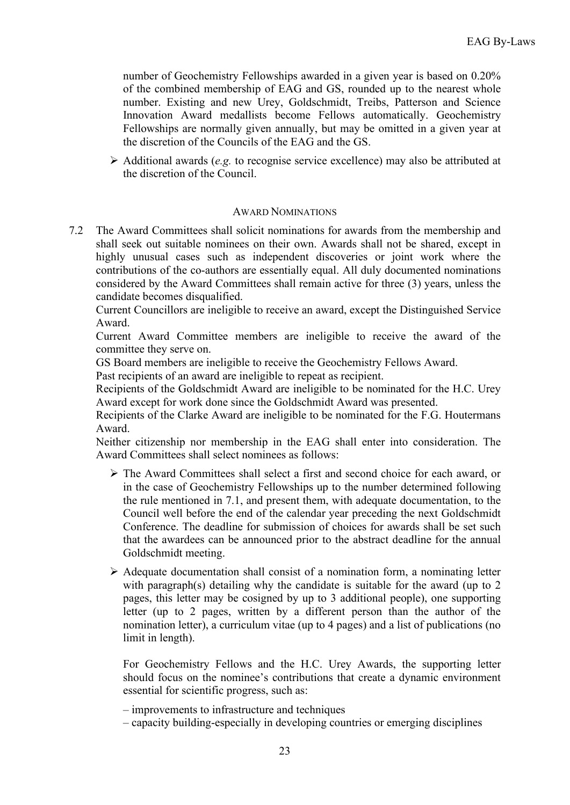number of Geochemistry Fellowships awarded in a given year is based on 0.20% of the combined membership of EAG and GS, rounded up to the nearest whole number. Existing and new Urey, Goldschmidt, Treibs, Patterson and Science Innovation Award medallists become Fellows automatically. Geochemistry Fellowships are normally given annually, but may be omitted in a given year at the discretion of the Councils of the EAG and the GS.

 $\triangleright$  Additional awards (*e.g.* to recognise service excellence) may also be attributed at the discretion of the Council.

## AWARD NOMINATIONS

7.2 The Award Committees shall solicit nominations for awards from the membership and shall seek out suitable nominees on their own. Awards shall not be shared, except in highly unusual cases such as independent discoveries or joint work where the contributions of the co-authors are essentially equal. All duly documented nominations considered by the Award Committees shall remain active for three (3) years, unless the candidate becomes disqualified.

Current Councillors are ineligible to receive an award, except the Distinguished Service Award.

Current Award Committee members are ineligible to receive the award of the committee they serve on.

GS Board members are ineligible to receive the Geochemistry Fellows Award.

Past recipients of an award are ineligible to repeat as recipient.

Recipients of the Goldschmidt Award are ineligible to be nominated for the H.C. Urey Award except for work done since the Goldschmidt Award was presented.

Recipients of the Clarke Award are ineligible to be nominated for the F.G. Houtermans Award.

Neither citizenship nor membership in the EAG shall enter into consideration. The Award Committees shall select nominees as follows:

- $\triangleright$  The Award Committees shall select a first and second choice for each award, or in the case of Geochemistry Fellowships up to the number determined following the rule mentioned in 7.1, and present them, with adequate documentation, to the Council well before the end of the calendar year preceding the next Goldschmidt Conference. The deadline for submission of choices for awards shall be set such that the awardees can be announced prior to the abstract deadline for the annual Goldschmidt meeting.
- $\triangleright$  Adequate documentation shall consist of a nomination form, a nominating letter with paragraph(s) detailing why the candidate is suitable for the award (up to 2 pages, this letter may be cosigned by up to 3 additional people), one supporting letter (up to 2 pages, written by a different person than the author of the nomination letter), a curriculum vitae (up to 4 pages) and a list of publications (no limit in length).

For Geochemistry Fellows and the H.C. Urey Awards, the supporting letter should focus on the nominee's contributions that create a dynamic environment essential for scientific progress, such as:

- improvements to infrastructure and techniques
- capacity building-especially in developing countries or emerging disciplines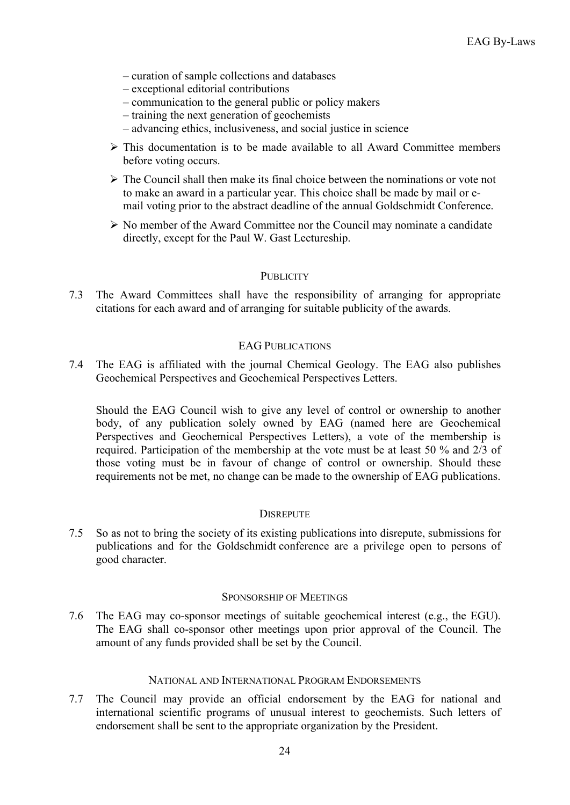- curation of sample collections and databases
- exceptional editorial contributions
- communication to the general public or policy makers
- training the next generation of geochemists
- advancing ethics, inclusiveness, and social justice in science
- $\triangleright$  This documentation is to be made available to all Award Committee members before voting occurs.
- $\triangleright$  The Council shall then make its final choice between the nominations or vote not to make an award in a particular year. This choice shall be made by mail or email voting prior to the abstract deadline of the annual Goldschmidt Conference.
- $\triangleright$  No member of the Award Committee nor the Council may nominate a candidate directly, except for the Paul W. Gast Lectureship.

## **PUBLICITY**

7.3 The Award Committees shall have the responsibility of arranging for appropriate citations for each award and of arranging for suitable publicity of the awards.

## EAG PUBLICATIONS

7.4 The EAG is affiliated with the journal Chemical Geology. The EAG also publishes Geochemical Perspectives and Geochemical Perspectives Letters.

Should the EAG Council wish to give any level of control or ownership to another body, of any publication solely owned by EAG (named here are Geochemical Perspectives and Geochemical Perspectives Letters), a vote of the membership is required. Participation of the membership at the vote must be at least 50 % and 2/3 of those voting must be in favour of change of control or ownership. Should these requirements not be met, no change can be made to the ownership of EAG publications.

## **DISREPUTE**

7.5 So as not to bring the society of its existing publications into disrepute, submissions for publications and for the Goldschmidt conference are a privilege open to persons of good character.

## SPONSORSHIP OF MEETINGS

7.6 The EAG may co-sponsor meetings of suitable geochemical interest (e.g., the EGU). The EAG shall co-sponsor other meetings upon prior approval of the Council. The amount of any funds provided shall be set by the Council.

## NATIONAL AND INTERNATIONAL PROGRAM ENDORSEMENTS

7.7 The Council may provide an official endorsement by the EAG for national and international scientific programs of unusual interest to geochemists. Such letters of endorsement shall be sent to the appropriate organization by the President.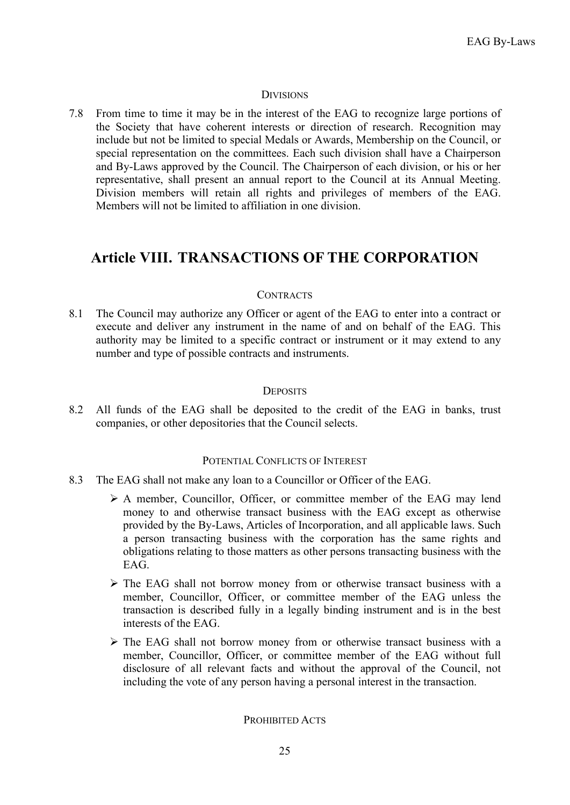## **DIVISIONS**

7.8 From time to time it may be in the interest of the EAG to recognize large portions of the Society that have coherent interests or direction of research. Recognition may include but not be limited to special Medals or Awards, Membership on the Council, or special representation on the committees. Each such division shall have a Chairperson and By-Laws approved by the Council. The Chairperson of each division, or his or her representative, shall present an annual report to the Council at its Annual Meeting. Division members will retain all rights and privileges of members of the EAG. Members will not be limited to affiliation in one division.

## **Article VIII. TRANSACTIONS OF THE CORPORATION**

## **CONTRACTS**

8.1 The Council may authorize any Officer or agent of the EAG to enter into a contract or execute and deliver any instrument in the name of and on behalf of the EAG. This authority may be limited to a specific contract or instrument or it may extend to any number and type of possible contracts and instruments.

## **DEPOSITS**

8.2 All funds of the EAG shall be deposited to the credit of the EAG in banks, trust companies, or other depositories that the Council selects.

#### POTENTIAL CONFLICTS OF INTEREST

- 8.3 The EAG shall not make any loan to a Councillor or Officer of the EAG.
	- A member, Councillor, Officer, or committee member of the EAG may lend money to and otherwise transact business with the EAG except as otherwise provided by the By-Laws, Articles of Incorporation, and all applicable laws. Such a person transacting business with the corporation has the same rights and obligations relating to those matters as other persons transacting business with the EAG.
	- The EAG shall not borrow money from or otherwise transact business with a member, Councillor, Officer, or committee member of the EAG unless the transaction is described fully in a legally binding instrument and is in the best interests of the EAG.
	- The EAG shall not borrow money from or otherwise transact business with a member, Councillor, Officer, or committee member of the EAG without full disclosure of all relevant facts and without the approval of the Council, not including the vote of any person having a personal interest in the transaction.

#### PROHIBITED ACTS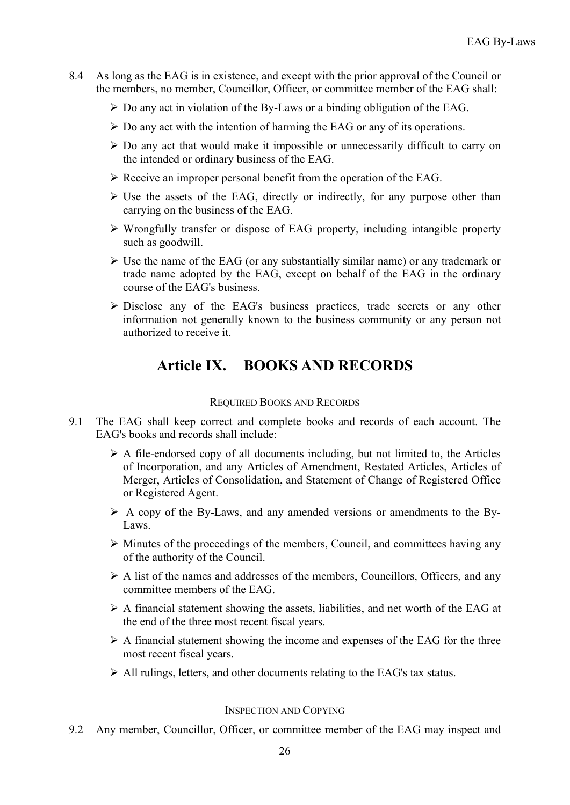- 8.4 As long as the EAG is in existence, and except with the prior approval of the Council or the members, no member, Councillor, Officer, or committee member of the EAG shall:
	- $\triangleright$  Do any act in violation of the By-Laws or a binding obligation of the EAG.
	- $\triangleright$  Do any act with the intention of harming the EAG or any of its operations.
	- $\triangleright$  Do any act that would make it impossible or unnecessarily difficult to carry on the intended or ordinary business of the EAG.
	- $\triangleright$  Receive an improper personal benefit from the operation of the EAG.
	- $\triangleright$  Use the assets of the EAG, directly or indirectly, for any purpose other than carrying on the business of the EAG.
	- Wrongfully transfer or dispose of EAG property, including intangible property such as goodwill.
	- $\triangleright$  Use the name of the EAG (or any substantially similar name) or any trademark or trade name adopted by the EAG, except on behalf of the EAG in the ordinary course of the EAG's business.
	- Disclose any of the EAG's business practices, trade secrets or any other information not generally known to the business community or any person not authorized to receive it.

# **Article IX. BOOKS AND RECORDS**

## REQUIRED BOOKS AND RECORDS

- 9.1 The EAG shall keep correct and complete books and records of each account. The EAG's books and records shall include:
	- $\triangleright$  A file-endorsed copy of all documents including, but not limited to, the Articles of Incorporation, and any Articles of Amendment, Restated Articles, Articles of Merger, Articles of Consolidation, and Statement of Change of Registered Office or Registered Agent.
	- $\triangleright$  A copy of the By-Laws, and any amended versions or amendments to the By-Laws.
	- $\triangleright$  Minutes of the proceedings of the members, Council, and committees having any of the authority of the Council.
	- $\triangleright$  A list of the names and addresses of the members, Councillors, Officers, and any committee members of the EAG.
	- $\triangleright$  A financial statement showing the assets, liabilities, and net worth of the EAG at the end of the three most recent fiscal years.
	- $\triangleright$  A financial statement showing the income and expenses of the EAG for the three most recent fiscal years.
	- All rulings, letters, and other documents relating to the EAG's tax status.

## INSPECTION AND COPYING

9.2 Any member, Councillor, Officer, or committee member of the EAG may inspect and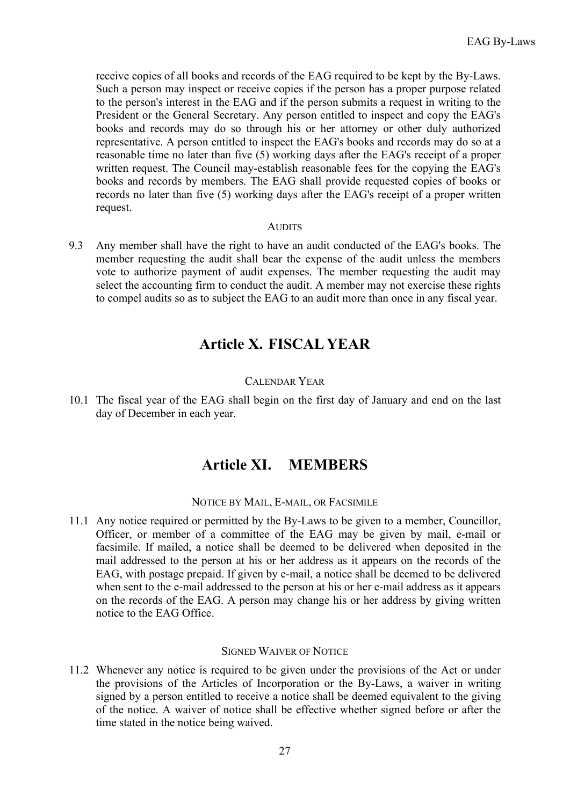receive copies of all books and records of the EAG required to be kept by the By-Laws. Such a person may inspect or receive copies if the person has a proper purpose related to the person's interest in the EAG and if the person submits a request in writing to the President or the General Secretary. Any person entitled to inspect and copy the EAG's books and records may do so through his or her attorney or other duly authorized representative. A person entitled to inspect the EAG's books and records may do so at a reasonable time no later than five (5) working days after the EAG's receipt of a proper written request. The Council may-establish reasonable fees for the copying the EAG's books and records by members. The EAG shall provide requested copies of books or records no later than five (5) working days after the EAG's receipt of a proper written request.

#### **AUDITS**

9.3 Any member shall have the right to have an audit conducted of the EAG's books. The member requesting the audit shall bear the expense of the audit unless the members vote to authorize payment of audit expenses. The member requesting the audit may select the accounting firm to conduct the audit. A member may not exercise these rights to compel audits so as to subject the EAG to an audit more than once in any fiscal year.

## **Article X. FISCAL YEAR**

## CALENDAR YEAR

10.1 The fiscal year of the EAG shall begin on the first day of January and end on the last day of December in each year.

## **Article XI. MEMBERS**

NOTICE BY MAIL, E-MAIL, OR FACSIMILE

11.1 Any notice required or permitted by the By-Laws to be given to a member, Councillor, Officer, or member of a committee of the EAG may be given by mail, e-mail or facsimile. If mailed, a notice shall be deemed to be delivered when deposited in the mail addressed to the person at his or her address as it appears on the records of the EAG, with postage prepaid. If given by e-mail, a notice shall be deemed to be delivered when sent to the e-mail addressed to the person at his or her e-mail address as it appears on the records of the EAG. A person may change his or her address by giving written notice to the EAG Office.

## SIGNED WAIVER OF NOTICE

11.2 Whenever any notice is required to be given under the provisions of the Act or under the provisions of the Articles of Incorporation or the By-Laws, a waiver in writing signed by a person entitled to receive a notice shall be deemed equivalent to the giving of the notice. A waiver of notice shall be effective whether signed before or after the time stated in the notice being waived.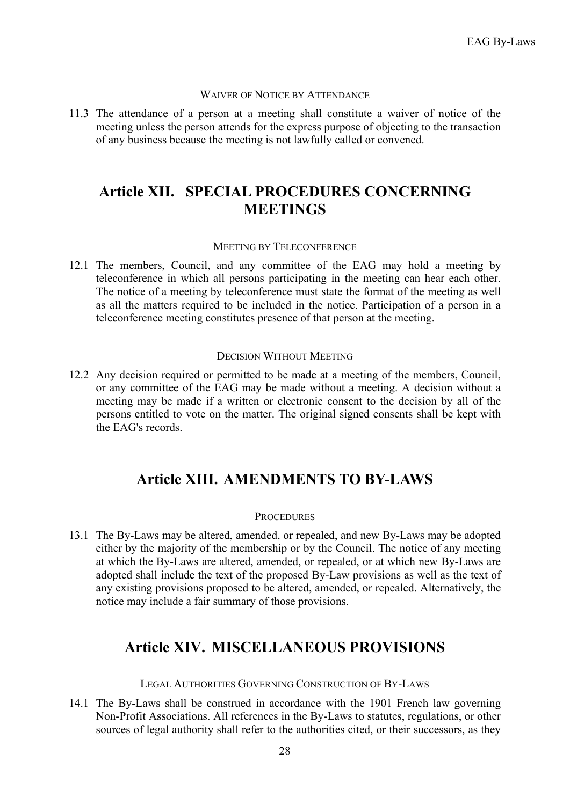#### WAIVER OF NOTICE BY ATTENDANCE

11.3 The attendance of a person at a meeting shall constitute a waiver of notice of the meeting unless the person attends for the express purpose of objecting to the transaction of any business because the meeting is not lawfully called or convened.

## **Article XII. SPECIAL PROCEDURES CONCERNING MEETINGS**

### MEETING BY TELECONFERENCE

12.1 The members, Council, and any committee of the EAG may hold a meeting by teleconference in which all persons participating in the meeting can hear each other. The notice of a meeting by teleconference must state the format of the meeting as well as all the matters required to be included in the notice. Participation of a person in a teleconference meeting constitutes presence of that person at the meeting.

#### DECISION WITHOUT MEETING

12.2 Any decision required or permitted to be made at a meeting of the members, Council, or any committee of the EAG may be made without a meeting. A decision without a meeting may be made if a written or electronic consent to the decision by all of the persons entitled to vote on the matter. The original signed consents shall be kept with the EAG's records.

## **Article XIII. AMENDMENTS TO BY-LAWS**

#### **PROCEDURES**

13.1 The By-Laws may be altered, amended, or repealed, and new By-Laws may be adopted either by the majority of the membership or by the Council. The notice of any meeting at which the By-Laws are altered, amended, or repealed, or at which new By-Laws are adopted shall include the text of the proposed By-Law provisions as well as the text of any existing provisions proposed to be altered, amended, or repealed. Alternatively, the notice may include a fair summary of those provisions.

## **Article XIV. MISCELLANEOUS PROVISIONS**

## LEGAL AUTHORITIES GOVERNING CONSTRUCTION OF BY-LAWS

14.1 The By-Laws shall be construed in accordance with the 1901 French law governing Non-Profit Associations. All references in the By-Laws to statutes, regulations, or other sources of legal authority shall refer to the authorities cited, or their successors, as they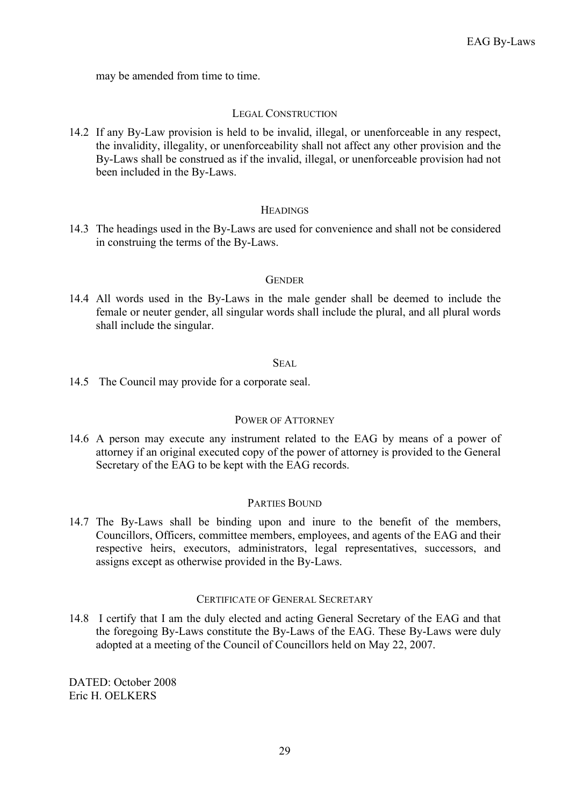may be amended from time to time.

#### LEGAL CONSTRUCTION

14.2 If any By-Law provision is held to be invalid, illegal, or unenforceable in any respect, the invalidity, illegality, or unenforceability shall not affect any other provision and the By-Laws shall be construed as if the invalid, illegal, or unenforceable provision had not been included in the By-Laws.

#### **HEADINGS**

14.3 The headings used in the By-Laws are used for convenience and shall not be considered in construing the terms of the By-Laws.

#### **GENDER**

14.4 All words used in the By-Laws in the male gender shall be deemed to include the female or neuter gender, all singular words shall include the plural, and all plural words shall include the singular.

#### SEAL.

14.5 The Council may provide for a corporate seal.

#### POWER OF ATTORNEY

14.6 A person may execute any instrument related to the EAG by means of a power of attorney if an original executed copy of the power of attorney is provided to the General Secretary of the EAG to be kept with the EAG records.

## PARTIES BOUND

14.7 The By-Laws shall be binding upon and inure to the benefit of the members, Councillors, Officers, committee members, employees, and agents of the EAG and their respective heirs, executors, administrators, legal representatives, successors, and assigns except as otherwise provided in the By-Laws.

#### CERTIFICATE OF GENERAL SECRETARY

14.8 I certify that I am the duly elected and acting General Secretary of the EAG and that the foregoing By-Laws constitute the By-Laws of the EAG. These By-Laws were duly adopted at a meeting of the Council of Councillors held on May 22, 2007.

DATED: October 2008 Eric H. OELKERS